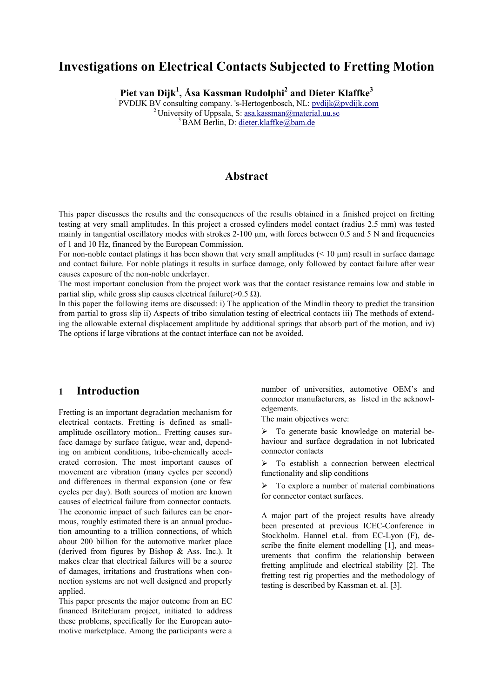# **Investigations on Electrical Contacts Subjected to Fretting Motion**

**Piet van Dijk<sup>1</sup> , Åsa Kassman Rudolphi<sup>2</sup> and Dieter Klaffke<sup>3</sup>**

<sup>1</sup> PVDIJK BV consulting company. 's-Hertogenbosch, NL: <u>pvdijk@pvdijk.com</u> <sup>2</sup> University of Uppsala, S: <u>asa.kassman@material.uu.se</u> <sup>3</sup> BAM Berlin, D: <u>dieter.klaffke@bam.de</u>

## **Abstract**

This paper discusses the results and the consequences of the results obtained in a finished project on fretting testing at very small amplitudes. In this project a crossed cylinders model contact (radius 2.5 mm) was tested mainly in tangential oscillatory modes with strokes  $2-100 \mu m$ , with forces between 0.5 and 5 N and frequencies of 1 and 10 Hz, financed by the European Commission.

For non-noble contact platings it has been shown that very small amplitudes  $($  10  $\mu$ m) result in surface damage and contact failure. For noble platings it results in surface damage, only followed by contact failure after wear causes exposure of the non-noble underlayer.

The most important conclusion from the project work was that the contact resistance remains low and stable in partial slip, while gross slip causes electrical failure( $>$ 0.5 Ω).

In this paper the following items are discussed: i) The application of the Mindlin theory to predict the transition from partial to gross slip ii) Aspects of tribo simulation testing of electrical contacts iii) The methods of extending the allowable external displacement amplitude by additional springs that absorb part of the motion, and iv) The options if large vibrations at the contact interface can not be avoided.

## **1 Introduction**

Fretting is an important degradation mechanism for electrical contacts. Fretting is defined as smallamplitude oscillatory motion.. Fretting causes surface damage by surface fatigue, wear and, depending on ambient conditions, tribo-chemically accelerated corrosion. The most important causes of movement are vibration (many cycles per second) and differences in thermal expansion (one or few cycles per day). Both sources of motion are known causes of electrical failure from connector contacts. The economic impact of such failures can be enormous, roughly estimated there is an annual production amounting to a trillion connections, of which about 200 billion for the automotive market place (derived from figures by Bishop & Ass. Inc.). It makes clear that electrical failures will be a source of damages, irritations and frustrations when connection systems are not well designed and properly applied.

This paper presents the major outcome from an EC financed BriteEuram project, initiated to address these problems, specifically for the European automotive marketplace. Among the participants were a number of universities, automotive OEM's and connector manufacturers, as listed in the acknowledgements.

The main objectives were:

 $\triangleright$  To generate basic knowledge on material behaviour and surface degradation in not lubricated connector contacts

 $\triangleright$  To establish a connection between electrical functionality and slip conditions

 $\triangleright$  To explore a number of material combinations for connector contact surfaces.

A major part of the project results have already been presented at previous ICEC-Conference in Stockholm. Hannel et.al. from EC-Lyon (F), describe the finite element modelling [1], and measurements that confirm the relationship between fretting amplitude and electrical stability [2]. The fretting test rig properties and the methodology of testing is described by Kassman et. al. [3].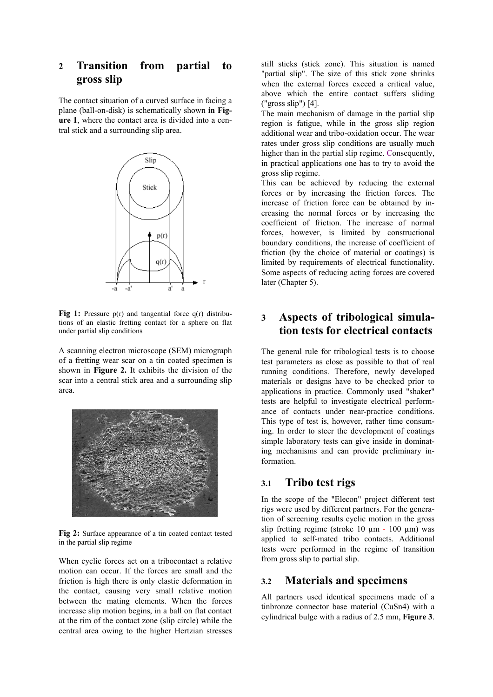## **2 Transition from partial to gross slip**

The contact situation of a curved surface in facing a plane (ball-on-disk) is schematically shown **in Figure 1**, where the contact area is divided into a central stick and a surrounding slip area.



Fig 1: Pressure p(r) and tangential force q(r) distributions of an elastic fretting contact for a sphere on flat under partial slip conditions

A scanning electron microscope (SEM) micrograph of a fretting wear scar on a tin coated specimen is shown in **Figure 2.** It exhibits the division of the scar into a central stick area and a surrounding slip area.



**Fig 2:** Surface appearance of a tin coated contact tested in the partial slip regime

When cyclic forces act on a tribocontact a relative motion can occur. If the forces are small and the friction is high there is only elastic deformation in the contact, causing very small relative motion between the mating elements. When the forces increase slip motion begins, in a ball on flat contact at the rim of the contact zone (slip circle) while the central area owing to the higher Hertzian stresses still sticks (stick zone). This situation is named "partial slip". The size of this stick zone shrinks when the external forces exceed a critical value, above which the entire contact suffers sliding ("gross slip") [4].

The main mechanism of damage in the partial slip region is fatigue, while in the gross slip region additional wear and tribo-oxidation occur. The wear rates under gross slip conditions are usually much higher than in the partial slip regime. Consequently, in practical applications one has to try to avoid the gross slip regime.

This can be achieved by reducing the external forces or by increasing the friction forces. The increase of friction force can be obtained by increasing the normal forces or by increasing the coefficient of friction. The increase of normal forces, however, is limited by constructional boundary conditions, the increase of coefficient of friction (by the choice of material or coatings) is limited by requirements of electrical functionality. Some aspects of reducing acting forces are covered later (Chapter 5).

## **3 Aspects of tribological simulation tests for electrical contacts**

The general rule for tribological tests is to choose test parameters as close as possible to that of real running conditions. Therefore, newly developed materials or designs have to be checked prior to applications in practice. Commonly used "shaker" tests are helpful to investigate electrical performance of contacts under near-practice conditions. This type of test is, however, rather time consuming. In order to steer the development of coatings simple laboratory tests can give inside in dominating mechanisms and can provide preliminary information.

## **3.1 Tribo test rigs**

In the scope of the "Elecon" project different test rigs were used by different partners. For the generation of screening results cyclic motion in the gross slip fretting regime (stroke  $10 \mu m - 100 \mu m$ ) was applied to self-mated tribo contacts. Additional tests were performed in the regime of transition from gross slip to partial slip.

# **3.2 Materials and specimens**

All partners used identical specimens made of a tinbronze connector base material (CuSn4) with a cylindrical bulge with a radius of 2.5 mm, **Figure 3**.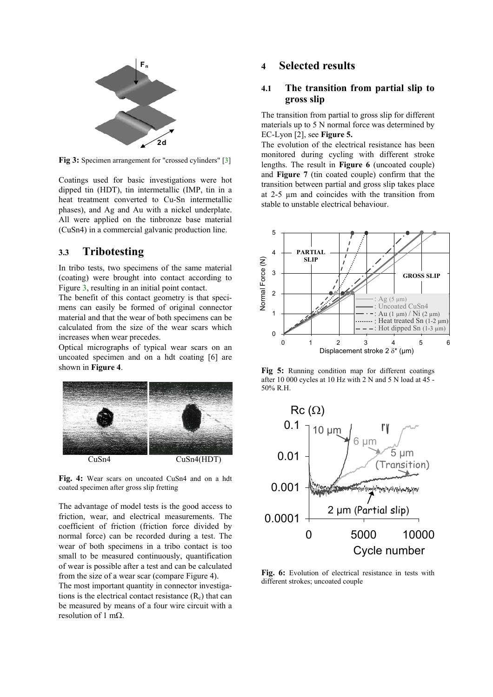

**Fig 3:** Specimen arrangement for "crossed cylinders" [3]

Coatings used for basic investigations were hot dipped tin (HDT), tin intermetallic (IMP, tin in a heat treatment converted to Cu-Sn intermetallic phases), and Ag and Au with a nickel underplate. All were applied on the tinbronze base material (CuSn4) in a commercial galvanic production line.

## **3.3 Tribotesting**

In tribo tests, two specimens of the same material (coating) were brought into contact according to Figure 3, resulting in an initial point contact.

The benefit of this contact geometry is that specimens can easily be formed of original connector material and that the wear of both specimens can be calculated from the size of the wear scars which increases when wear precedes.

Optical micrographs of typical wear scars on an uncoated specimen and on a hdt coating [6] are shown in **Figure 4**.



**Fig. 4:** Wear scars on uncoated CuSn4 and on a hdt coated specimen after gross slip fretting

The advantage of model tests is the good access to friction, wear, and electrical measurements. The coefficient of friction (friction force divided by normal force) can be recorded during a test. The wear of both specimens in a tribo contact is too small to be measured continuously, quantification of wear is possible after a test and can be calculated from the size of a wear scar (compare Figure 4).

The most important quantity in connector investigations is the electrical contact resistance  $(R<sub>c</sub>)$  that can be measured by means of a four wire circuit with a resolution of 1 mΩ.

### **4 Selected results**

#### **4.1 The transition from partial slip to gross slip**

The transition from partial to gross slip for different materials up to 5 N normal force was determined by EC-Lyon [2], see **Figure 5.**

The evolution of the electrical resistance has been monitored during cycling with different stroke lengths. The result in **Figure 6** (uncoated couple) and **Figure 7** (tin coated couple) confirm that the transition between partial and gross slip takes place at 2-5 µm and coincides with the transition from stable to unstable electrical behaviour.



**Fig 5:** Running condition map for different coatings after 10 000 cycles at 10 Hz with 2 N and 5 N load at 45 - 50% R.H.



**Fig. 6:** Evolution of electrical resistance in tests with different strokes; uncoated couple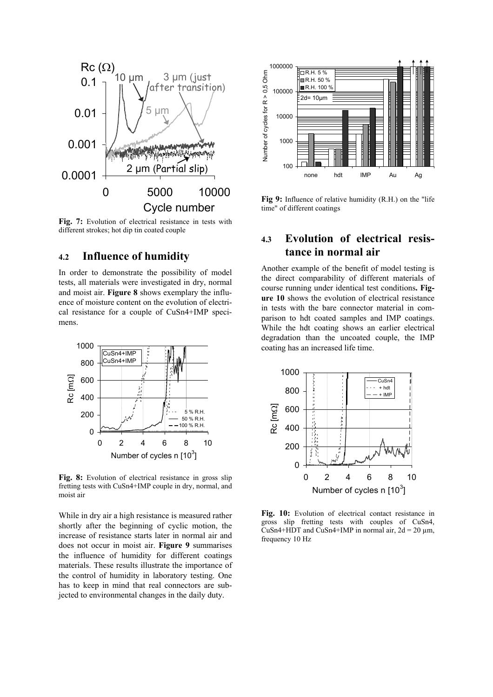

**Fig. 7:** Evolution of electrical resistance in tests with different strokes; hot dip tin coated couple

## **4.2 Influence of humidity**

In order to demonstrate the possibility of model tests, all materials were investigated in dry, normal and moist air. **Figure 8** shows exemplary the influence of moisture content on the evolution of electrical resistance for a couple of CuSn4+IMP specimens.



Fig. 8: Evolution of electrical resistance in gross slip fretting tests with CuSn4+IMP couple in dry, normal, and moist air

While in dry air a high resistance is measured rather shortly after the beginning of cyclic motion, the increase of resistance starts later in normal air and does not occur in moist air. **Figure 9** summarises the influence of humidity for different coatings materials. These results illustrate the importance of the control of humidity in laboratory testing. One has to keep in mind that real connectors are subjected to environmental changes in the daily duty.



**Fig 9:** Influence of relative humidity (R.H.) on the "life time" of different coatings

# **4.3 Evolution of electrical resistance in normal air**

Another example of the benefit of model testing is the direct comparability of different materials of course running under identical test conditions**. Figure 10** shows the evolution of electrical resistance in tests with the bare connector material in comparison to hdt coated samples and IMP coatings. While the hdt coating shows an earlier electrical degradation than the uncoated couple, the IMP coating has an increased life time.



**Fig. 10:** Evolution of electrical contact resistance in gross slip fretting tests with couples of CuSn4, CuSn4+HDT and CuSn4+IMP in normal air,  $2d = 20 \mu m$ , frequency 10 Hz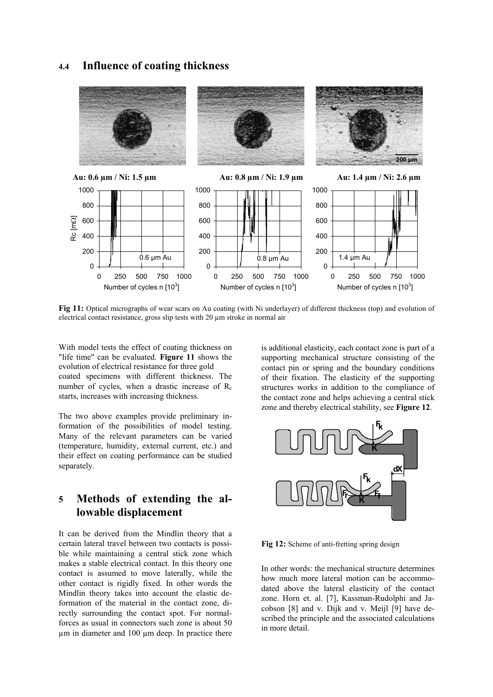## **4.4 Influence of coating thickness**



**Fig 11:** Optical micrographs of wear scars on Au coating (with Ni underlayer) of different thickness (top) and evolution of electrical contact resistance, gross slip tests with 20 µm stroke in normal air

With model tests the effect of coating thickness on "life time" can be evaluated. **Figure 11** shows the evolution of electrical resistance for three gold coated specimens with different thickness. The number of cycles, when a drastic increase of  $R_c$ starts, increases with increasing thickness.

The two above examples provide preliminary information of the possibilities of model testing. Many of the relevant parameters can be varied (temperature, humidity, external current, etc.) and their effect on coating performance can be studied separately.

# **5 Methods of extending the allowable displacement**

It can be derived from the Mindlin theory that a certain lateral travel between two contacts is possible while maintaining a central stick zone which makes a stable electrical contact. In this theory one contact is assumed to move laterally, while the other contact is rigidly fixed. In other words the Mindlin theory takes into account the elastic deformation of the material in the contact zone, directly surrounding the contact spot. For normalforces as usual in connectors such zone is about 50 µm in diameter and 100 µm deep. In practice there is additional elasticity, each contact zone is part of a supporting mechanical structure consisting of the contact pin or spring and the boundary conditions of their fixation. The elasticity of the supporting structures works in addition to the compliance of the contact zone and helps achieving a central stick zone and thereby electrical stability, see **Figure 12**.



**Fig 12:** Scheme of anti-fretting spring design

In other words: the mechanical structure determines how much more lateral motion can be accommodated above the lateral elasticity of the contact zone. Horn et. al. [7], Kassman-Rudolphi and Jacobson [8] and v. Dijk and v. Meijl [9] have described the principle and the associated calculations in more detail.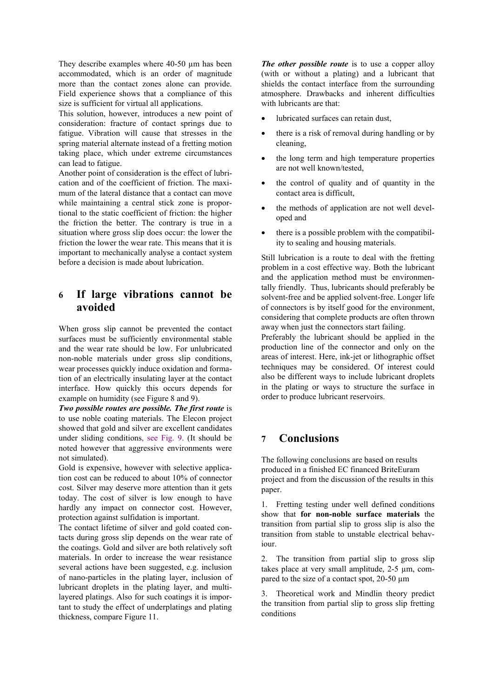They describe examples where 40-50  $\mu$ m has been accommodated, which is an order of magnitude more than the contact zones alone can provide. Field experience shows that a compliance of this size is sufficient for virtual all applications.

This solution, however, introduces a new point of consideration: fracture of contact springs due to fatigue. Vibration will cause that stresses in the spring material alternate instead of a fretting motion taking place, which under extreme circumstances can lead to fatigue.

Another point of consideration is the effect of lubrication and of the coefficient of friction. The maximum of the lateral distance that a contact can move while maintaining a central stick zone is proportional to the static coefficient of friction: the higher the friction the better. The contrary is true in a situation where gross slip does occur: the lower the friction the lower the wear rate. This means that it is important to mechanically analyse a contact system before a decision is made about lubrication.

# **6 If large vibrations cannot be avoided**

When gross slip cannot be prevented the contact surfaces must be sufficiently environmental stable and the wear rate should be low. For unlubricated non-noble materials under gross slip conditions, wear processes quickly induce oxidation and formation of an electrically insulating layer at the contact interface. How quickly this occurs depends for example on humidity (see Figure 8 and 9).

*Two possible routes are possible. The first route* is to use noble coating materials. The Elecon project showed that gold and silver are excellent candidates under sliding conditions, see Fig. 9. (It should be noted however that aggressive environments were not simulated).

Gold is expensive, however with selective application cost can be reduced to about 10% of connector cost. Silver may deserve more attention than it gets today. The cost of silver is low enough to have hardly any impact on connector cost. However, protection against sulfidation is important.

The contact lifetime of silver and gold coated contacts during gross slip depends on the wear rate of the coatings. Gold and silver are both relatively soft materials. In order to increase the wear resistance several actions have been suggested, e.g. inclusion of nano-particles in the plating layer, inclusion of lubricant droplets in the plating layer, and multilayered platings. Also for such coatings it is important to study the effect of underplatings and plating thickness, compare Figure 11.

*The other possible route* is to use a copper alloy (with or without a plating) and a lubricant that shields the contact interface from the surrounding atmosphere. Drawbacks and inherent difficulties with lubricants are that:

- lubricated surfaces can retain dust,
- there is a risk of removal during handling or by cleaning,
- the long term and high temperature properties are not well known/tested,
- the control of quality and of quantity in the contact area is difficult,
- the methods of application are not well developed and
- there is a possible problem with the compatibility to sealing and housing materials.

Still lubrication is a route to deal with the fretting problem in a cost effective way. Both the lubricant and the application method must be environmentally friendly. Thus, lubricants should preferably be solvent-free and be applied solvent-free. Longer life of connectors is by itself good for the environment, considering that complete products are often thrown away when just the connectors start failing.

Preferably the lubricant should be applied in the production line of the connector and only on the areas of interest. Here, ink-jet or lithographic offset techniques may be considered. Of interest could also be different ways to include lubricant droplets in the plating or ways to structure the surface in order to produce lubricant reservoirs.

## **7 Conclusions**

The following conclusions are based on results produced in a finished EC financed BriteEuram project and from the discussion of the results in this paper.

1. Fretting testing under well defined conditions show that **for non-noble surface materials** the transition from partial slip to gross slip is also the transition from stable to unstable electrical behaviour.

2. The transition from partial slip to gross slip takes place at very small amplitude, 2-5 µm, compared to the size of a contact spot, 20-50 µm

3. Theoretical work and Mindlin theory predict the transition from partial slip to gross slip fretting conditions